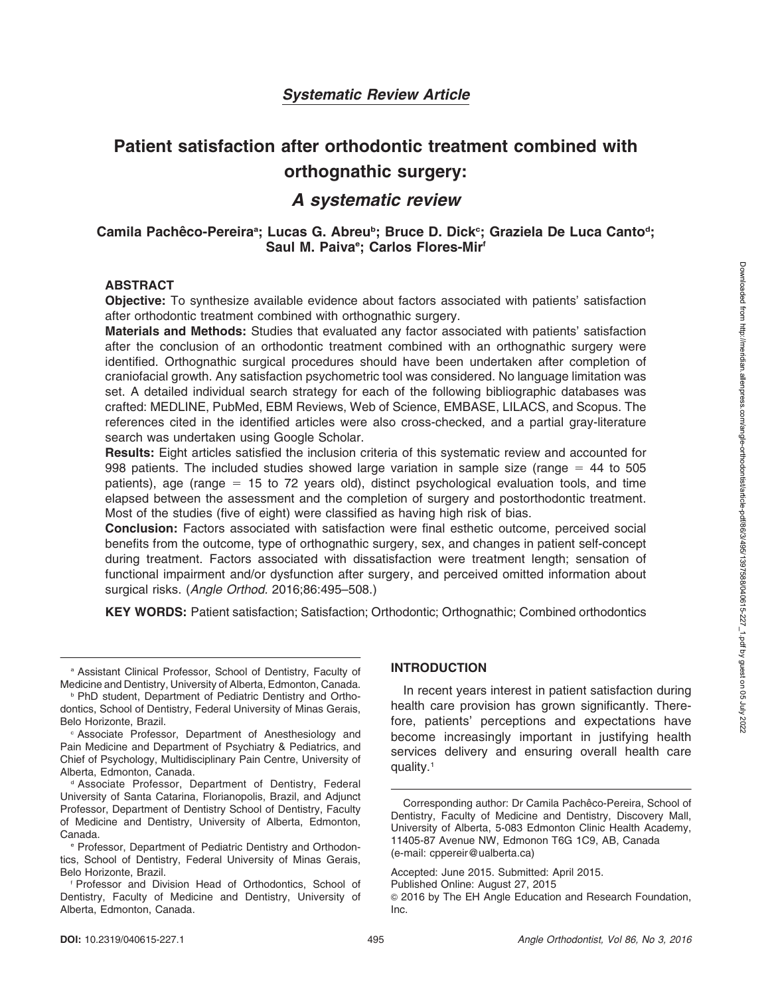# Patient satisfaction after orthodontic treatment combined with orthognathic surgery:

# A systematic review

# Camila Pachêco-Pereiraª; Lucas G. Abreu<sup>B</sup>; Bruce D. Dick<sup>c</sup>; Graziela De Luca Canto<sup>d</sup>; Saul M. Paiva<sup>e</sup>; Carlos Flores-Mir<sup>f</sup>

#### ABSTRACT

Objective: To synthesize available evidence about factors associated with patients' satisfaction after orthodontic treatment combined with orthognathic surgery.

Materials and Methods: Studies that evaluated any factor associated with patients' satisfaction after the conclusion of an orthodontic treatment combined with an orthognathic surgery were identified. Orthognathic surgical procedures should have been undertaken after completion of craniofacial growth. Any satisfaction psychometric tool was considered. No language limitation was set. A detailed individual search strategy for each of the following bibliographic databases was crafted: MEDLINE, PubMed, EBM Reviews, Web of Science, EMBASE, LILACS, and Scopus. The references cited in the identified articles were also cross-checked, and a partial gray-literature search was undertaken using Google Scholar.

Results: Eight articles satisfied the inclusion criteria of this systematic review and accounted for 998 patients. The included studies showed large variation in sample size (range  $=$  44 to 505 patients), age (range  $= 15$  to 72 years old), distinct psychological evaluation tools, and time elapsed between the assessment and the completion of surgery and postorthodontic treatment. Most of the studies (five of eight) were classified as having high risk of bias.

Conclusion: Factors associated with satisfaction were final esthetic outcome, perceived social benefits from the outcome, type of orthognathic surgery, sex, and changes in patient self-concept during treatment. Factors associated with dissatisfaction were treatment length; sensation of functional impairment and/or dysfunction after surgery, and perceived omitted information about surgical risks. (Angle Orthod. 2016;86:495–508.)

KEY WORDS: Patient satisfaction; Satisfaction; Orthodontic; Orthognathic; Combined orthodontics

<sup>a</sup> Assistant Clinical Professor, School of Dentistry, Faculty of Medicine and Dentistry, University of Alberta, Edmonton, Canada.

**PhD student, Department of Pediatric Dentistry and Ortho**dontics, School of Dentistry, Federal University of Minas Gerais, Belo Horizonte, Brazil.

<sup>c</sup> Associate Professor, Department of Anesthesiology and Pain Medicine and Department of Psychiatry & Pediatrics, and Chief of Psychology, Multidisciplinary Pain Centre, University of Alberta, Edmonton, Canada.

<sup>d</sup> Associate Professor, Department of Dentistry, Federal University of Santa Catarina, Florianopolis, Brazil, and Adjunct Professor, Department of Dentistry School of Dentistry, Faculty of Medicine and Dentistry, University of Alberta, Edmonton, Canada.

<sup>e</sup> Professor, Department of Pediatric Dentistry and Orthodontics, School of Dentistry, Federal University of Minas Gerais, Belo Horizonte, Brazil.

<sup>f</sup> Professor and Division Head of Orthodontics, School of Dentistry, Faculty of Medicine and Dentistry, University of Alberta, Edmonton, Canada.

#### INTRODUCTION

In recent years interest in patient satisfaction during health care provision has grown significantly. Therefore, patients' perceptions and expectations have become increasingly important in justifying health services delivery and ensuring overall health care quality.1

Accepted: June 2015. Submitted: April 2015.

Published Online: August 27, 2015

Corresponding author: Dr Camila Pachêco-Pereira, School of Dentistry, Faculty of Medicine and Dentistry, Discovery Mall, University of Alberta, 5-083 Edmonton Clinic Health Academy, 11405-87 Avenue NW, Edmonon T6G 1C9, AB, Canada (e-mail: cppereir@ualberta.ca)

<sup>G</sup> 2016 by The EH Angle Education and Research Foundation, Inc.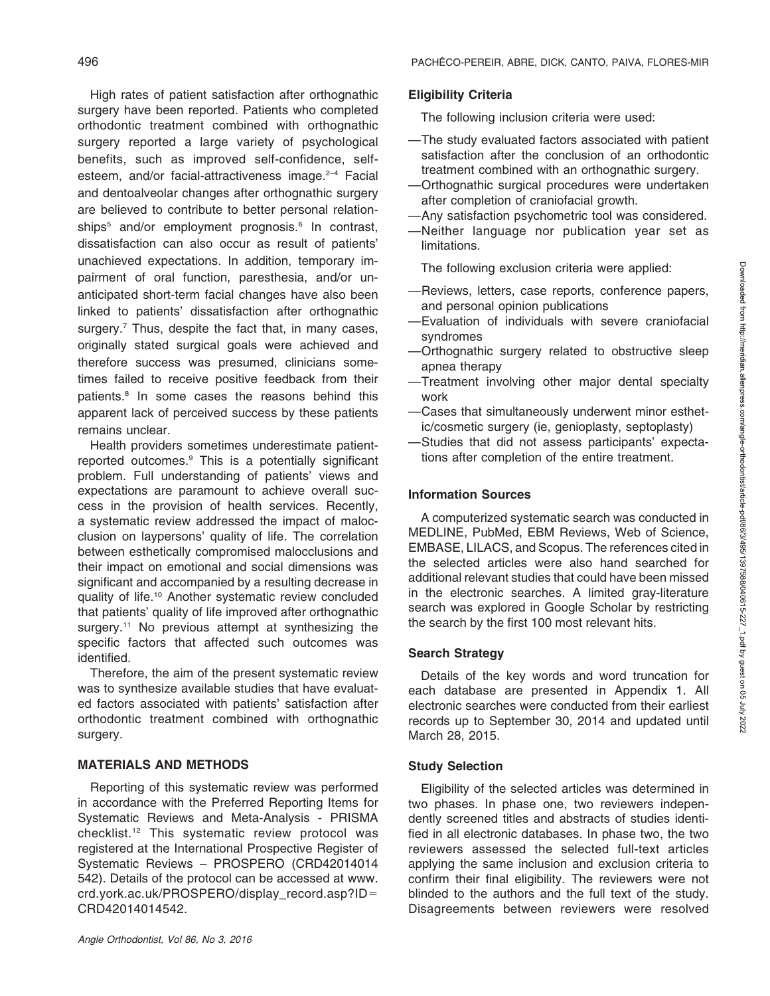High rates of patient satisfaction after orthognathic surgery have been reported. Patients who completed orthodontic treatment combined with orthognathic surgery reported a large variety of psychological benefits, such as improved self-confidence, selfesteem, and/or facial-attractiveness image.<sup>2-4</sup> Facial and dentoalveolar changes after orthognathic surgery are believed to contribute to better personal relationships<sup>5</sup> and/or employment prognosis.<sup>6</sup> In contrast, dissatisfaction can also occur as result of patients' unachieved expectations. In addition, temporary impairment of oral function, paresthesia, and/or unanticipated short-term facial changes have also been linked to patients' dissatisfaction after orthognathic surgery.<sup>7</sup> Thus, despite the fact that, in many cases, originally stated surgical goals were achieved and therefore success was presumed, clinicians sometimes failed to receive positive feedback from their patients.<sup>8</sup> In some cases the reasons behind this apparent lack of perceived success by these patients remains unclear.

Health providers sometimes underestimate patientreported outcomes.9 This is a potentially significant problem. Full understanding of patients' views and expectations are paramount to achieve overall success in the provision of health services. Recently, a systematic review addressed the impact of malocclusion on laypersons' quality of life. The correlation between esthetically compromised malocclusions and their impact on emotional and social dimensions was significant and accompanied by a resulting decrease in quality of life.10 Another systematic review concluded that patients' quality of life improved after orthognathic surgery.<sup>11</sup> No previous attempt at synthesizing the specific factors that affected such outcomes was identified.

Therefore, the aim of the present systematic review was to synthesize available studies that have evaluated factors associated with patients' satisfaction after orthodontic treatment combined with orthognathic surgery.

# MATERIALS AND METHODS

Reporting of this systematic review was performed in accordance with the Preferred Reporting Items for Systematic Reviews and Meta-Analysis - PRISMA checklist.12 This systematic review protocol was registered at the International Prospective Register of Systematic Reviews – PROSPERO (CRD42014014 542). Details of the protocol can be accessed at www. crd.york.ac.uk/PROSPERO/display\_record.asp?ID= CRD42014014542.

# Eligibility Criteria

The following inclusion criteria were used:

- —The study evaluated factors associated with patient satisfaction after the conclusion of an orthodontic treatment combined with an orthognathic surgery.
- —Orthognathic surgical procedures were undertaken after completion of craniofacial growth.
- —Any satisfaction psychometric tool was considered.
- —Neither language nor publication year set as limitations.

The following exclusion criteria were applied:

- —Reviews, letters, case reports, conference papers, and personal opinion publications
- —Evaluation of individuals with severe craniofacial syndromes
- —Orthognathic surgery related to obstructive sleep apnea therapy
- —Treatment involving other major dental specialty work
- —Cases that simultaneously underwent minor esthetic/cosmetic surgery (ie, genioplasty, septoplasty)
- —Studies that did not assess participants' expectations after completion of the entire treatment.

# Information Sources

A computerized systematic search was conducted in MEDLINE, PubMed, EBM Reviews, Web of Science, EMBASE, LILACS, and Scopus. The references cited in the selected articles were also hand searched for additional relevant studies that could have been missed in the electronic searches. A limited gray-literature search was explored in Google Scholar by restricting the search by the first 100 most relevant hits.

# Search Strategy

Details of the key words and word truncation for each database are presented in Appendix 1. All electronic searches were conducted from their earliest records up to September 30, 2014 and updated until March 28, 2015.

# Study Selection

Eligibility of the selected articles was determined in two phases. In phase one, two reviewers independently screened titles and abstracts of studies identified in all electronic databases. In phase two, the two reviewers assessed the selected full-text articles applying the same inclusion and exclusion criteria to confirm their final eligibility. The reviewers were not blinded to the authors and the full text of the study. Disagreements between reviewers were resolved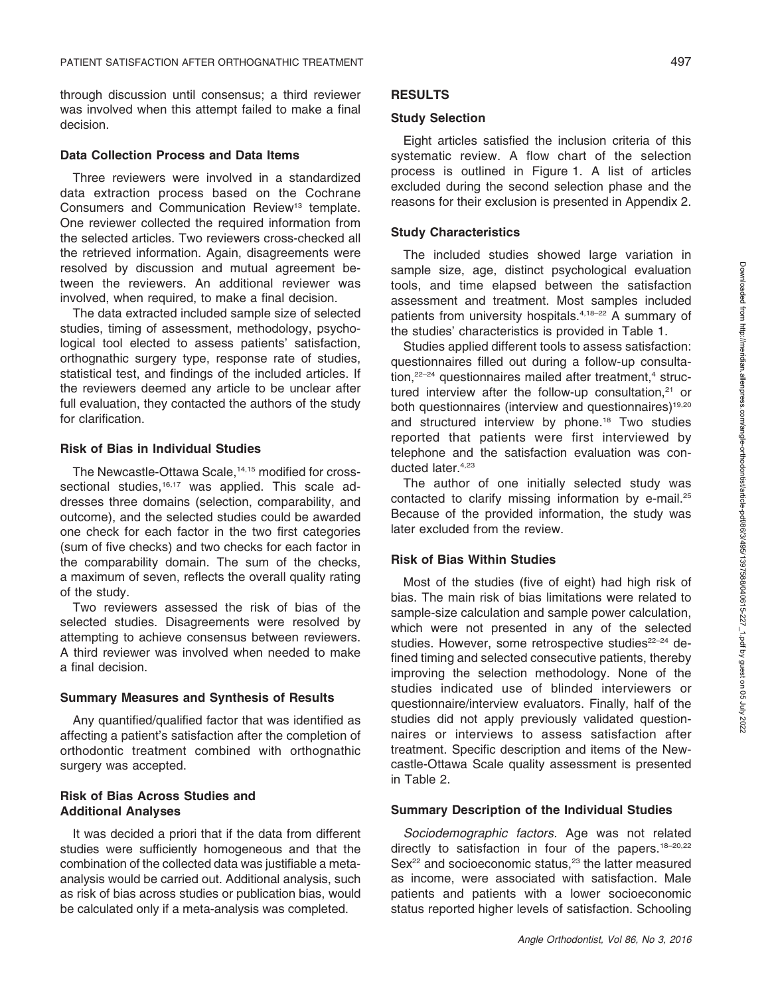through discussion until consensus; a third reviewer was involved when this attempt failed to make a final decision.

#### Data Collection Process and Data Items

Three reviewers were involved in a standardized data extraction process based on the Cochrane Consumers and Communication Review<sup>13</sup> template. One reviewer collected the required information from the selected articles. Two reviewers cross-checked all the retrieved information. Again, disagreements were resolved by discussion and mutual agreement between the reviewers. An additional reviewer was involved, when required, to make a final decision.

The data extracted included sample size of selected studies, timing of assessment, methodology, psychological tool elected to assess patients' satisfaction, orthognathic surgery type, response rate of studies, statistical test, and findings of the included articles. If the reviewers deemed any article to be unclear after full evaluation, they contacted the authors of the study for clarification.

#### Risk of Bias in Individual Studies

The Newcastle-Ottawa Scale,<sup>14,15</sup> modified for crosssectional studies,<sup>16,17</sup> was applied. This scale addresses three domains (selection, comparability, and outcome), and the selected studies could be awarded one check for each factor in the two first categories (sum of five checks) and two checks for each factor in the comparability domain. The sum of the checks, a maximum of seven, reflects the overall quality rating of the study.

Two reviewers assessed the risk of bias of the selected studies. Disagreements were resolved by attempting to achieve consensus between reviewers. A third reviewer was involved when needed to make a final decision.

#### Summary Measures and Synthesis of Results

Any quantified/qualified factor that was identified as affecting a patient's satisfaction after the completion of orthodontic treatment combined with orthognathic surgery was accepted.

#### Risk of Bias Across Studies and Additional Analyses

It was decided a priori that if the data from different studies were sufficiently homogeneous and that the combination of the collected data was justifiable a metaanalysis would be carried out. Additional analysis, such as risk of bias across studies or publication bias, would be calculated only if a meta-analysis was completed.

# **RESULTS**

#### Study Selection

Eight articles satisfied the inclusion criteria of this systematic review. A flow chart of the selection process is outlined in Figure 1. A list of articles excluded during the second selection phase and the reasons for their exclusion is presented in Appendix 2.

#### Study Characteristics

The included studies showed large variation in sample size, age, distinct psychological evaluation tools, and time elapsed between the satisfaction assessment and treatment. Most samples included patients from university hospitals.<sup>4,18-22</sup> A summary of the studies' characteristics is provided in Table 1.

Studies applied different tools to assess satisfaction: questionnaires filled out during a follow-up consultation, $22-24$  questionnaires mailed after treatment, $4$  structured interview after the follow-up consultation, $21$  or both questionnaires (interview and questionnaires)<sup>19,20</sup> and structured interview by phone.18 Two studies reported that patients were first interviewed by telephone and the satisfaction evaluation was conducted later.<sup>4,23</sup>

The author of one initially selected study was contacted to clarify missing information by e-mail.<sup>25</sup> Because of the provided information, the study was later excluded from the review.

### Risk of Bias Within Studies

Most of the studies (five of eight) had high risk of bias. The main risk of bias limitations were related to sample-size calculation and sample power calculation, which were not presented in any of the selected studies. However, some retrospective studies<sup>22-24</sup> defined timing and selected consecutive patients, thereby improving the selection methodology. None of the studies indicated use of blinded interviewers or questionnaire/interview evaluators. Finally, half of the studies did not apply previously validated questionnaires or interviews to assess satisfaction after treatment. Specific description and items of the Newcastle-Ottawa Scale quality assessment is presented in Table 2.

#### Summary Description of the Individual Studies

Sociodemographic factors. Age was not related directly to satisfaction in four of the papers.<sup>18-20,22</sup>  $Sex<sup>22</sup>$  and socioeconomic status,<sup>23</sup> the latter measured as income, were associated with satisfaction. Male patients and patients with a lower socioeconomic status reported higher levels of satisfaction. Schooling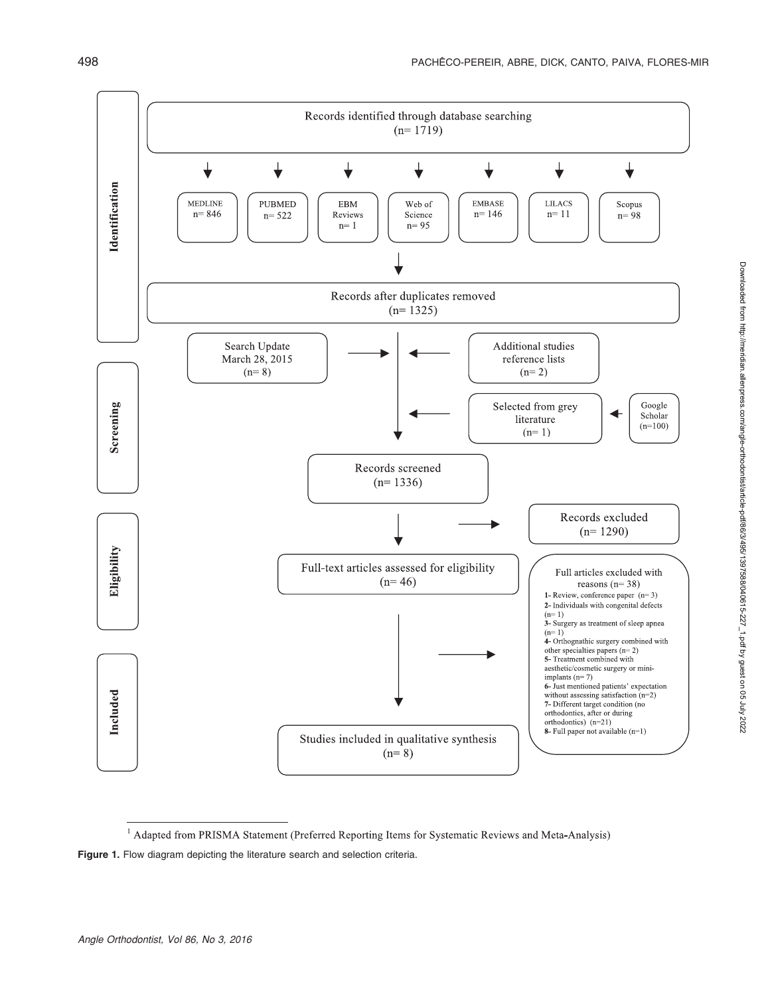

<sup>&</sup>lt;sup>1</sup> Adapted from PRISMA Statement (Preferred Reporting Items for Systematic Reviews and Meta-Analysis) Figure 1. Flow diagram depicting the literature search and selection criteria.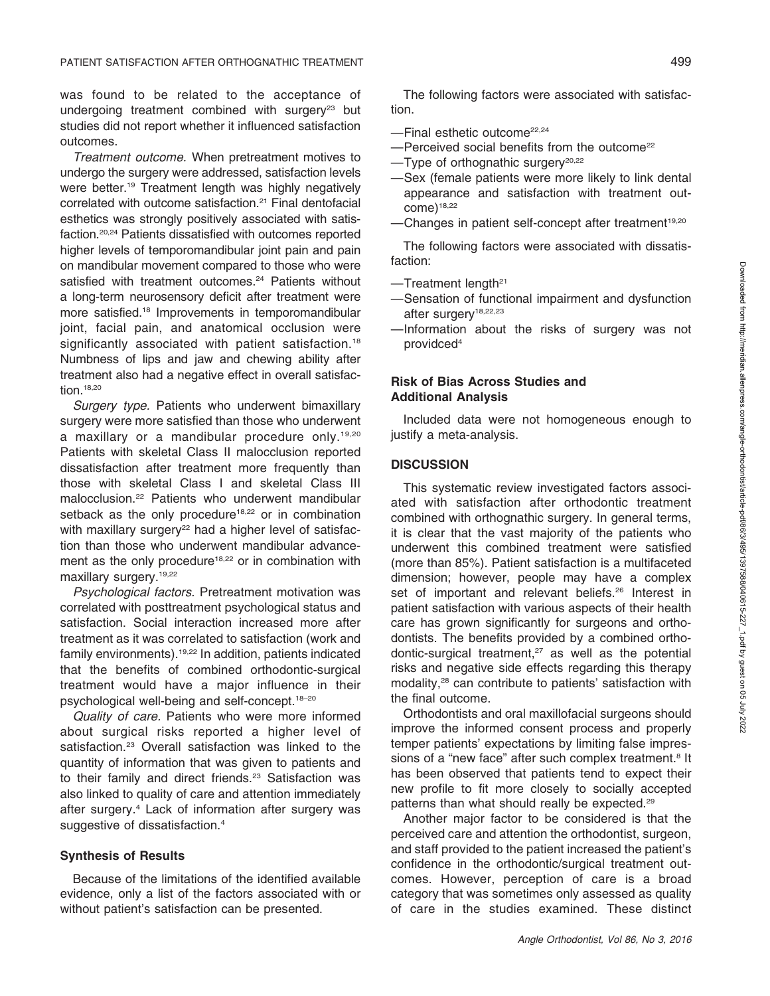was found to be related to the acceptance of undergoing treatment combined with surgery<sup>23</sup> but studies did not report whether it influenced satisfaction outcomes.

Treatment outcome. When pretreatment motives to undergo the surgery were addressed, satisfaction levels were better.<sup>19</sup> Treatment length was highly negatively correlated with outcome satisfaction.21 Final dentofacial esthetics was strongly positively associated with satisfaction.20,24 Patients dissatisfied with outcomes reported higher levels of temporomandibular joint pain and pain on mandibular movement compared to those who were satisfied with treatment outcomes.<sup>24</sup> Patients without a long-term neurosensory deficit after treatment were more satisfied.18 Improvements in temporomandibular joint, facial pain, and anatomical occlusion were significantly associated with patient satisfaction.<sup>18</sup> Numbness of lips and jaw and chewing ability after treatment also had a negative effect in overall satisfaction.18,20

Surgery type. Patients who underwent bimaxillary surgery were more satisfied than those who underwent a maxillary or a mandibular procedure only.<sup>19,20</sup> Patients with skeletal Class II malocclusion reported dissatisfaction after treatment more frequently than those with skeletal Class I and skeletal Class III malocclusion.22 Patients who underwent mandibular setback as the only procedure<sup>18,22</sup> or in combination with maxillary surgery<sup>22</sup> had a higher level of satisfaction than those who underwent mandibular advancement as the only procedure<sup>18,22</sup> or in combination with maxillary surgery.<sup>19,22</sup>

Psychological factors. Pretreatment motivation was correlated with posttreatment psychological status and satisfaction. Social interaction increased more after treatment as it was correlated to satisfaction (work and family environments).19,22 In addition, patients indicated that the benefits of combined orthodontic-surgical treatment would have a major influence in their psychological well-being and self-concept.18–20

Quality of care. Patients who were more informed about surgical risks reported a higher level of satisfaction.<sup>23</sup> Overall satisfaction was linked to the quantity of information that was given to patients and to their family and direct friends.<sup>23</sup> Satisfaction was also linked to quality of care and attention immediately after surgery.4 Lack of information after surgery was suggestive of dissatisfaction.<sup>4</sup>

#### Synthesis of Results

Because of the limitations of the identified available evidence, only a list of the factors associated with or without patient's satisfaction can be presented.

The following factors were associated with satisfaction.

- —Final esthetic outcome22,24
- -Perceived social benefits from the outcome<sup>22</sup>
- $-$ Type of orthognathic surgery<sup>20,22</sup>
- —Sex (female patients were more likely to link dental appearance and satisfaction with treatment out $come)^{18,22}$
- -Changes in patient self-concept after treatment<sup>19,20</sup>

The following factors were associated with dissatisfaction:

- $-$ Treatment length<sup>21</sup>
- —Sensation of functional impairment and dysfunction after surgery<sup>18,22,23</sup>
- —Information about the risks of surgery was not providced4

#### Risk of Bias Across Studies and Additional Analysis

Included data were not homogeneous enough to justify a meta-analysis.

#### **DISCUSSION**

This systematic review investigated factors associated with satisfaction after orthodontic treatment combined with orthognathic surgery. In general terms, it is clear that the vast majority of the patients who underwent this combined treatment were satisfied (more than 85%). Patient satisfaction is a multifaceted dimension; however, people may have a complex set of important and relevant beliefs.<sup>26</sup> Interest in patient satisfaction with various aspects of their health care has grown significantly for surgeons and orthodontists. The benefits provided by a combined orthodontic-surgical treatment, $27$  as well as the potential risks and negative side effects regarding this therapy modality,<sup>28</sup> can contribute to patients' satisfaction with the final outcome.

Orthodontists and oral maxillofacial surgeons should improve the informed consent process and properly temper patients' expectations by limiting false impressions of a "new face" after such complex treatment.<sup>8</sup> It has been observed that patients tend to expect their new profile to fit more closely to socially accepted patterns than what should really be expected.29

Another major factor to be considered is that the perceived care and attention the orthodontist, surgeon, and staff provided to the patient increased the patient's confidence in the orthodontic/surgical treatment outcomes. However, perception of care is a broad category that was sometimes only assessed as quality of care in the studies examined. These distinct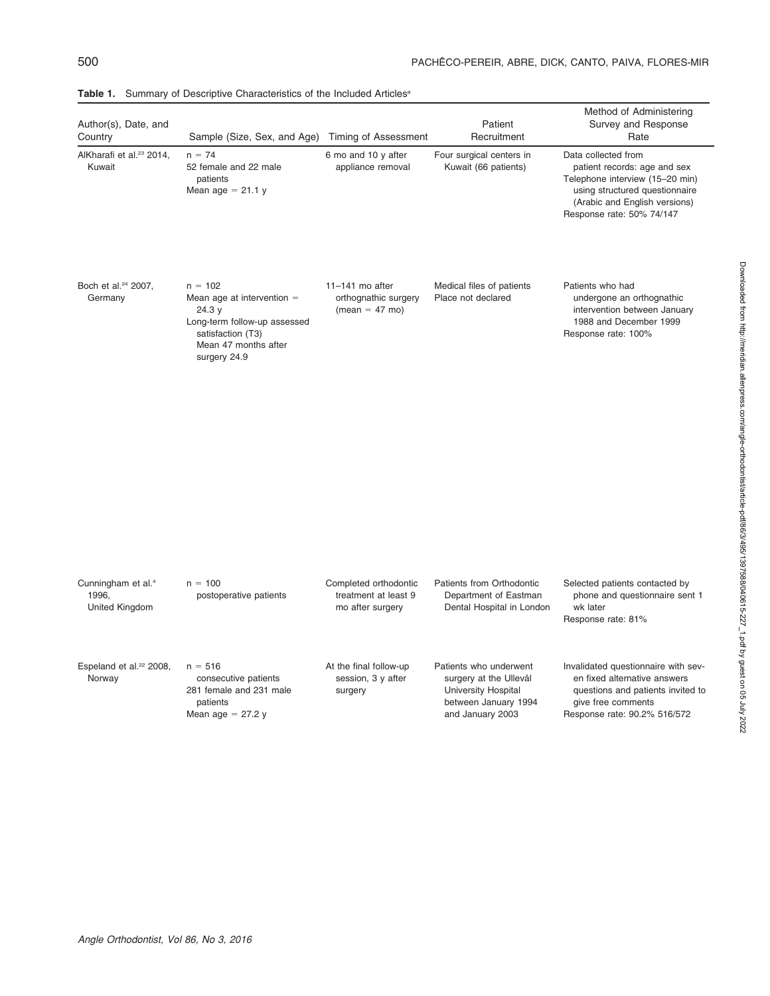| Author(s), Date, and<br>Country                           | Sample (Size, Sex, and Age)                                                                                                                      | Timing of Assessment                                              | Patient<br>Recruitment                                                                                              | Method of Administering<br>Survey and Response<br>Rate                                                                                                                                 |
|-----------------------------------------------------------|--------------------------------------------------------------------------------------------------------------------------------------------------|-------------------------------------------------------------------|---------------------------------------------------------------------------------------------------------------------|----------------------------------------------------------------------------------------------------------------------------------------------------------------------------------------|
| AlKharafi et al. <sup>23</sup> 2014,<br>Kuwait            | $n = 74$<br>52 female and 22 male<br>patients<br>Mean age $= 21.1 y$                                                                             | 6 mo and 10 y after<br>appliance removal                          | Four surgical centers in<br>Kuwait (66 patients)                                                                    | Data collected from<br>patient records: age and sex<br>Telephone interview (15-20 min)<br>using structured questionnaire<br>(Arabic and English versions)<br>Response rate: 50% 74/147 |
| Boch et al. <sup>24</sup> 2007,<br>Germany                | $n = 102$<br>Mean age at intervention $=$<br>24.3 y<br>Long-term follow-up assessed<br>satisfaction (T3)<br>Mean 47 months after<br>surgery 24.9 | $11-141$ mo after<br>orthognathic surgery<br>$(mean = 47 mo)$     | Medical files of patients<br>Place not declared                                                                     | Patients who had<br>undergone an orthognathic<br>intervention between January<br>1988 and December 1999<br>Response rate: 100%                                                         |
| Cunningham et al. <sup>4</sup><br>1996,<br>United Kingdom | $n = 100$<br>postoperative patients                                                                                                              | Completed orthodontic<br>treatment at least 9<br>mo after surgery | Patients from Orthodontic<br>Department of Eastman<br>Dental Hospital in London                                     | Selected patients contacted by<br>phone and questionnaire sent 1<br>wk later<br>Response rate: 81%                                                                                     |
| Espeland et al. <sup>22</sup> 2008,<br>Norway             | $n = 516$<br>consecutive patients<br>281 female and 231 male<br>patients<br>Mean age $= 27.2$ y                                                  | At the final follow-up<br>session, 3 y after<br>surgery           | Patients who underwent<br>surgery at the Ullevål<br>University Hospital<br>between January 1994<br>and January 2003 | Invalidated questionnaire with sev-<br>en fixed alternative answers<br>questions and patients invited to<br>give free comments<br>Response rate: 90.2% 516/572                         |

Table 1. Summary of Descriptive Characteristics of the Included Articles<sup>a</sup>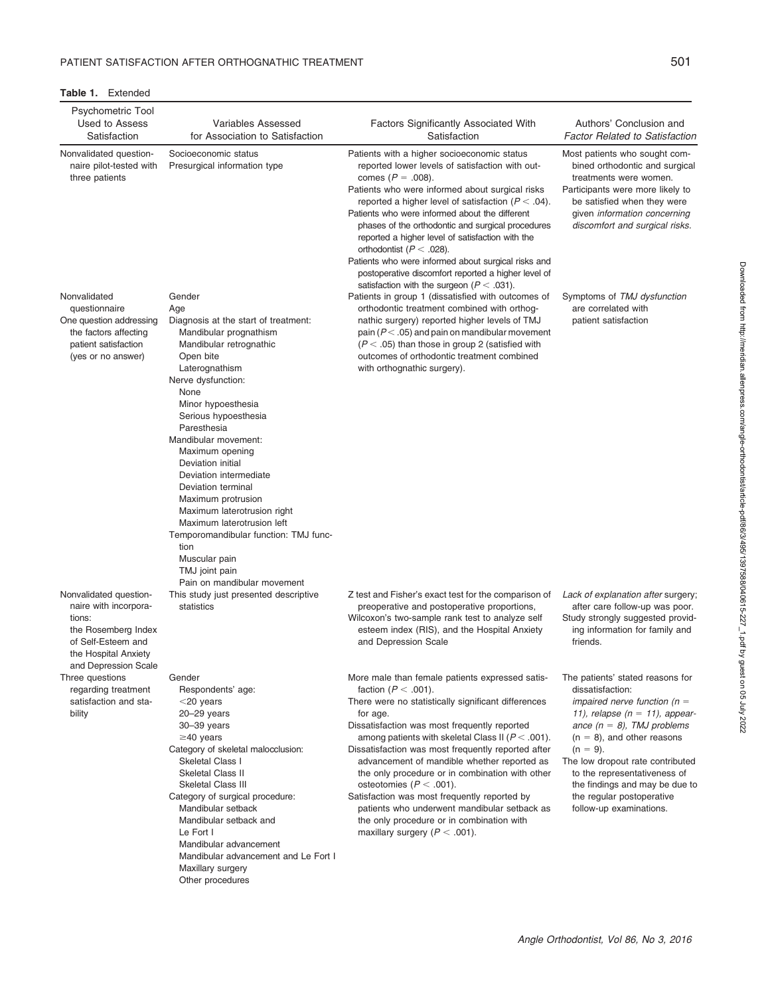Table 1. Extended

| Psychometric Tool<br>Used to Assess<br>Satisfaction                                                                             | <b>Variables Assessed</b><br>for Association to Satisfaction                                                                                                                                                                                                                                                                                                                                                                                                                                              | Factors Significantly Associated With<br>Satisfaction                                                                                                                                                                                                                                                                                                                                                                                                                                                                                                                                                                           | Authors' Conclusion and<br><b>Factor Related to Satisfaction</b>                                                                                                                                                                                                                                                                                                            |
|---------------------------------------------------------------------------------------------------------------------------------|-----------------------------------------------------------------------------------------------------------------------------------------------------------------------------------------------------------------------------------------------------------------------------------------------------------------------------------------------------------------------------------------------------------------------------------------------------------------------------------------------------------|---------------------------------------------------------------------------------------------------------------------------------------------------------------------------------------------------------------------------------------------------------------------------------------------------------------------------------------------------------------------------------------------------------------------------------------------------------------------------------------------------------------------------------------------------------------------------------------------------------------------------------|-----------------------------------------------------------------------------------------------------------------------------------------------------------------------------------------------------------------------------------------------------------------------------------------------------------------------------------------------------------------------------|
| Nonvalidated question-<br>naire pilot-tested with<br>three patients                                                             | Socioeconomic status<br>Presurgical information type                                                                                                                                                                                                                                                                                                                                                                                                                                                      | Patients with a higher socioeconomic status<br>reported lower levels of satisfaction with out-<br>comes ( $P = .008$ ).<br>Patients who were informed about surgical risks<br>reported a higher level of satisfaction ( $P < .04$ ).<br>Patients who were informed about the different<br>phases of the orthodontic and surgical procedures<br>reported a higher level of satisfaction with the<br>orthodontist ( $P < .028$ ).<br>Patients who were informed about surgical risks and<br>postoperative discomfort reported a higher level of<br>satisfaction with the surgeon ( $P < .031$ ).                                  | Most patients who sought com-<br>bined orthodontic and surgical<br>treatments were women.<br>Participants were more likely to<br>be satisfied when they were<br>given information concerning<br>discomfort and surgical risks.                                                                                                                                              |
| Nonvalidated<br>questionnaire<br>One question addressing<br>the factors affecting<br>patient satisfaction<br>(yes or no answer) | Gender<br>Age<br>Diagnosis at the start of treatment:<br>Mandibular prognathism<br>Mandibular retrognathic<br>Open bite<br>Laterognathism<br>Nerve dysfunction:<br>None<br>Minor hypoesthesia<br>Serious hypoesthesia<br>Paresthesia<br>Mandibular movement:<br>Maximum opening<br>Deviation initial<br>Deviation intermediate<br>Deviation terminal<br>Maximum protrusion<br>Maximum laterotrusion right<br>Maximum laterotrusion left<br>Temporomandibular function: TMJ func-<br>tion<br>Muscular pain | Patients in group 1 (dissatisfied with outcomes of<br>orthodontic treatment combined with orthog-<br>nathic surgery) reported higher levels of TMJ<br>pain ( $P < .05$ ) and pain on mandibular movement<br>$(P < .05)$ than those in group 2 (satisfied with<br>outcomes of orthodontic treatment combined<br>with orthognathic surgery).                                                                                                                                                                                                                                                                                      | Symptoms of TMJ dysfunction<br>are correlated with<br>patient satisfaction                                                                                                                                                                                                                                                                                                  |
| Nonvalidated question-<br>naire with incorpora-<br>tions:<br>the Rosemberg Index<br>of Self-Esteem and<br>the Hospital Anxiety  | TMJ joint pain<br>Pain on mandibular movement<br>This study just presented descriptive<br>statistics                                                                                                                                                                                                                                                                                                                                                                                                      | Z test and Fisher's exact test for the comparison of<br>preoperative and postoperative proportions,<br>Wilcoxon's two-sample rank test to analyze self<br>esteem index (RIS), and the Hospital Anxiety<br>and Depression Scale                                                                                                                                                                                                                                                                                                                                                                                                  | Lack of explanation after surgery;<br>after care follow-up was poor.<br>Study strongly suggested provid-<br>ing information for family and<br>friends.                                                                                                                                                                                                                      |
| and Depression Scale<br>Three questions<br>regarding treatment<br>satisfaction and sta-<br>bility                               | Gender<br>Respondents' age:<br>$<$ 20 years<br>$20 - 29$ years<br>$30 - 39$ years<br>$\geq$ 40 years<br>Category of skeletal malocclusion:<br>Skeletal Class I<br>Skeletal Class II<br><b>Skeletal Class III</b><br>Category of surgical procedure:<br>Mandibular setback<br>Mandibular setback and<br>Le Fort I<br>Mandibular advancement<br>Mandibular advancement and Le Fort I<br>Maxillary surgery<br>Other procedures                                                                               | More male than female patients expressed satis-<br>faction ( $P < .001$ ).<br>There were no statistically significant differences<br>for age.<br>Dissatisfaction was most frequently reported<br>among patients with skeletal Class II ( $P < .001$ ).<br>Dissatisfaction was most frequently reported after<br>advancement of mandible whether reported as<br>the only procedure or in combination with other<br>osteotomies ( $P < .001$ ).<br>Satisfaction was most frequently reported by<br>patients who underwent mandibular setback as<br>the only procedure or in combination with<br>maxillary surgery ( $P < .001$ ). | The patients' stated reasons for<br>dissatisfaction:<br>impaired nerve function ( $n =$<br>11), relapse $(n = 11)$ , appear-<br>ance $(n = 8)$ , TMJ problems<br>$(n = 8)$ , and other reasons<br>$(n = 9)$ .<br>The low dropout rate contributed<br>to the representativeness of<br>the findings and may be due to<br>the regular postoperative<br>follow-up examinations. |

Downloaded from http://meridian.allenpress.com/angle-orthodontist/article-pdf/86/3495/1397588/040615-227\_1.pdf by guest on 05 July 2022 Downloaded from http://meridian.allenpress.com/angle-orthodontist/article-pdf/86/3/495/1397588/040615-227\_1.pdf by guest on 05 July 2022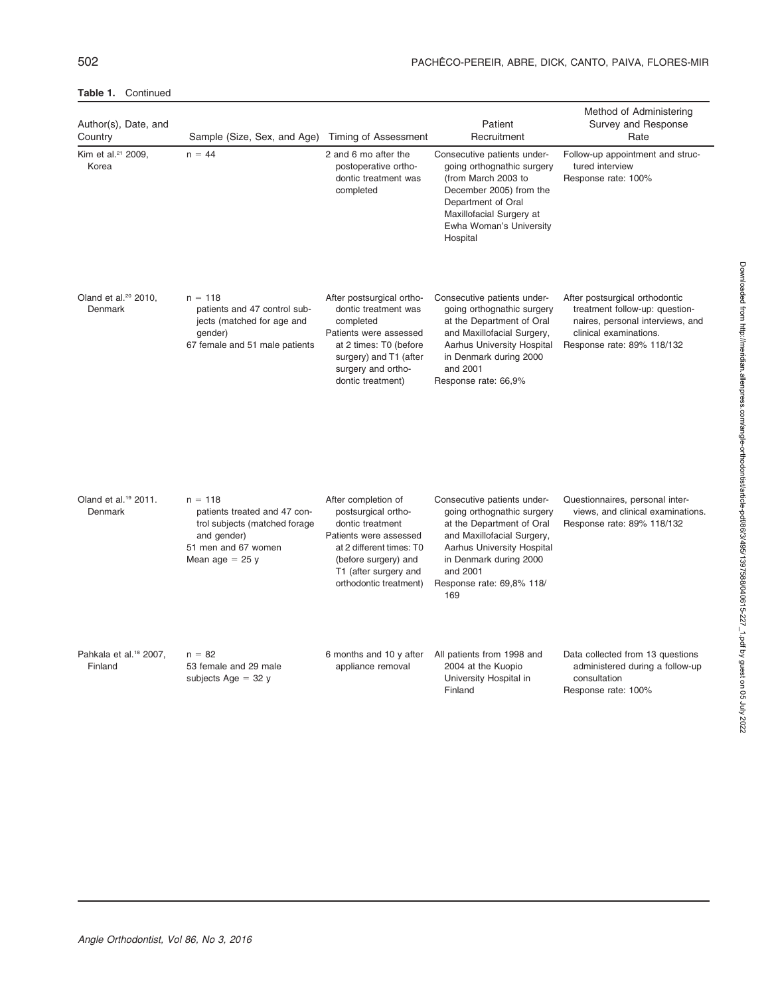| Author(s), Date, and<br>Country               | Sample (Size, Sex, and Age)                                                                                                           | Timing of Assessment                                                                                                                                                                            | Patient<br>Recruitment                                                                                                                                                                                                              | Method of Administering<br>Survey and Response<br>Rate                                                                                                       |
|-----------------------------------------------|---------------------------------------------------------------------------------------------------------------------------------------|-------------------------------------------------------------------------------------------------------------------------------------------------------------------------------------------------|-------------------------------------------------------------------------------------------------------------------------------------------------------------------------------------------------------------------------------------|--------------------------------------------------------------------------------------------------------------------------------------------------------------|
| Kim et al. <sup>21</sup> 2009,<br>Korea       | $n = 44$                                                                                                                              | 2 and 6 mo after the<br>postoperative ortho-<br>dontic treatment was<br>completed                                                                                                               | Consecutive patients under-<br>going orthognathic surgery<br>(from March 2003 to<br>December 2005) from the<br>Department of Oral<br>Maxillofacial Surgery at<br>Ewha Woman's University<br>Hospital                                | Follow-up appointment and struc-<br>tured interview<br>Response rate: 100%                                                                                   |
| Oland et al. <sup>20</sup> 2010,<br>Denmark   | $n = 118$<br>patients and 47 control sub-<br>jects (matched for age and<br>qender)<br>67 female and 51 male patients                  | After postsurgical ortho-<br>dontic treatment was<br>completed<br>Patients were assessed<br>at 2 times: T0 (before<br>surgery) and T1 (after<br>surgery and ortho-<br>dontic treatment)         | Consecutive patients under-<br>going orthognathic surgery<br>at the Department of Oral<br>and Maxillofacial Surgery,<br><b>Aarhus University Hospital</b><br>in Denmark during 2000<br>and 2001<br>Response rate: 66,9%             | After postsurgical orthodontic<br>treatment follow-up: question-<br>naires, personal interviews, and<br>clinical examinations.<br>Response rate: 89% 118/132 |
| Oland et al. <sup>19</sup> 2011.<br>Denmark   | $n = 118$<br>patients treated and 47 con-<br>trol subjects (matched forage<br>and gender)<br>51 men and 67 women<br>Mean age $= 25$ y | After completion of<br>postsurgical ortho-<br>dontic treatment<br>Patients were assessed<br>at 2 different times: T0<br>(before surgery) and<br>T1 (after surgery and<br>orthodontic treatment) | Consecutive patients under-<br>going orthognathic surgery<br>at the Department of Oral<br>and Maxillofacial Surgery,<br><b>Aarhus University Hospital</b><br>in Denmark during 2000<br>and 2001<br>Response rate: 69,8% 118/<br>169 | Questionnaires, personal inter-<br>views, and clinical examinations.<br>Response rate: 89% 118/132                                                           |
| Pahkala et al. <sup>18</sup> 2007,<br>Finland | $n = 82$<br>53 female and 29 male<br>subjects Age $=$ 32 y                                                                            | 6 months and 10 y after<br>appliance removal                                                                                                                                                    | All patients from 1998 and<br>2004 at the Kuopio<br>University Hospital in<br>Finland                                                                                                                                               | Data collected from 13 questions<br>administered during a follow-up<br>consultation<br>Response rate: 100%                                                   |

#### Table 1. Continued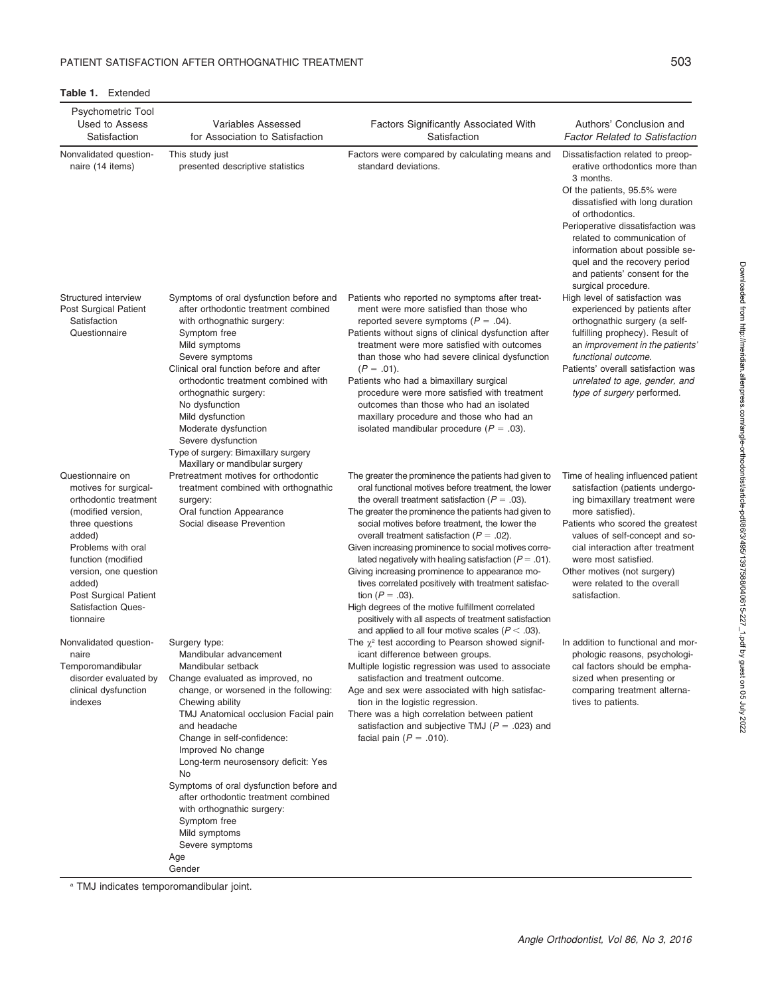#### Table 1. Extended

| Psychometric Tool<br>Used to Assess<br>Satisfaction                                                                                                                                                                                                                     | <b>Variables Assessed</b><br>for Association to Satisfaction                                                                                                                                                                                                                                                                                                                                                                                                                                                 | Factors Significantly Associated With<br>Satisfaction                                                                                                                                                                                                                                                                                                                                                                                                                                                                                                                                                                                                                                                                                                   | Authors' Conclusion and<br><b>Factor Related to Satisfaction</b>                                                                                                                                                                                                                                                                                                     |
|-------------------------------------------------------------------------------------------------------------------------------------------------------------------------------------------------------------------------------------------------------------------------|--------------------------------------------------------------------------------------------------------------------------------------------------------------------------------------------------------------------------------------------------------------------------------------------------------------------------------------------------------------------------------------------------------------------------------------------------------------------------------------------------------------|---------------------------------------------------------------------------------------------------------------------------------------------------------------------------------------------------------------------------------------------------------------------------------------------------------------------------------------------------------------------------------------------------------------------------------------------------------------------------------------------------------------------------------------------------------------------------------------------------------------------------------------------------------------------------------------------------------------------------------------------------------|----------------------------------------------------------------------------------------------------------------------------------------------------------------------------------------------------------------------------------------------------------------------------------------------------------------------------------------------------------------------|
| Nonvalidated question-<br>naire (14 items)                                                                                                                                                                                                                              | This study just<br>presented descriptive statistics                                                                                                                                                                                                                                                                                                                                                                                                                                                          | Factors were compared by calculating means and<br>standard deviations.                                                                                                                                                                                                                                                                                                                                                                                                                                                                                                                                                                                                                                                                                  | Dissatisfaction related to preop-<br>erative orthodontics more than<br>3 months.<br>Of the patients, 95.5% were<br>dissatisfied with long duration<br>of orthodontics.<br>Perioperative dissatisfaction was<br>related to communication of<br>information about possible se-<br>quel and the recovery period<br>and patients' consent for the<br>surgical procedure. |
| Structured interview<br>Post Surgical Patient<br>Satisfaction<br>Questionnaire                                                                                                                                                                                          | Symptoms of oral dysfunction before and<br>after orthodontic treatment combined<br>with orthognathic surgery:<br>Symptom free<br>Mild symptoms<br>Severe symptoms<br>Clinical oral function before and after<br>orthodontic treatment combined with<br>orthognathic surgery:<br>No dysfunction<br>Mild dysfunction<br>Moderate dysfunction<br>Severe dysfunction                                                                                                                                             | Patients who reported no symptoms after treat-<br>ment were more satisfied than those who<br>reported severe symptoms ( $P = .04$ ).<br>Patients without signs of clinical dysfunction after<br>treatment were more satisfied with outcomes<br>than those who had severe clinical dysfunction<br>$(P = .01)$ .<br>Patients who had a bimaxillary surgical<br>procedure were more satisfied with treatment<br>outcomes than those who had an isolated<br>maxillary procedure and those who had an<br>isolated mandibular procedure ( $P = .03$ ).                                                                                                                                                                                                        | High level of satisfaction was<br>experienced by patients after<br>orthognathic surgery (a self-<br>fulfilling prophecy). Result of<br>an improvement in the patients<br>functional outcome.<br>Patients' overall satisfaction was<br>unrelated to age, gender, and<br>type of surgery performed.                                                                    |
|                                                                                                                                                                                                                                                                         | Type of surgery: Bimaxillary surgery                                                                                                                                                                                                                                                                                                                                                                                                                                                                         |                                                                                                                                                                                                                                                                                                                                                                                                                                                                                                                                                                                                                                                                                                                                                         |                                                                                                                                                                                                                                                                                                                                                                      |
| Questionnaire on<br>motives for surgical-<br>orthodontic treatment<br>(modified version,<br>three questions<br>added)<br>Problems with oral<br>function (modified<br>version, one question<br>added)<br>Post Surgical Patient<br><b>Satisfaction Ques-</b><br>tionnaire | Maxillary or mandibular surgery<br>Pretreatment motives for orthodontic<br>treatment combined with orthognathic<br>surgery:<br>Oral function Appearance<br>Social disease Prevention                                                                                                                                                                                                                                                                                                                         | The greater the prominence the patients had given to<br>oral functional motives before treatment, the lower<br>the overall treatment satisfaction ( $P = .03$ ).<br>The greater the prominence the patients had given to<br>social motives before treatment, the lower the<br>overall treatment satisfaction ( $P = .02$ ).<br>Given increasing prominence to social motives corre-<br>lated negatively with healing satisfaction ( $P = .01$ ).<br>Giving increasing prominence to appearance mo-<br>tives correlated positively with treatment satisfac-<br>tion ( $P = .03$ ).<br>High degrees of the motive fulfillment correlated<br>positively with all aspects of treatment satisfaction<br>and applied to all four motive scales ( $P < .03$ ). | Time of healing influenced patient<br>satisfaction (patients undergo-<br>ing bimaxillary treatment were<br>more satisfied).<br>Patients who scored the greatest<br>values of self-concept and so-<br>cial interaction after treatment<br>were most satisfied.<br>Other motives (not surgery)<br>were related to the overall<br>satisfaction.                         |
| Nonvalidated question-<br>naire<br>Temporomandibular<br>disorder evaluated by<br>clinical dysfunction<br>indexes                                                                                                                                                        | Surgery type:<br>Mandibular advancement<br>Mandibular setback<br>Change evaluated as improved, no<br>change, or worsened in the following:<br>Chewing ability<br>TMJ Anatomical occlusion Facial pain<br>and headache<br>Change in self-confidence:<br>Improved No change<br>Long-term neurosensory deficit: Yes<br>No<br>Symptoms of oral dysfunction before and<br>after orthodontic treatment combined<br>with orthognathic surgery:<br>Symptom free<br>Mild symptoms<br>Severe symptoms<br>Age<br>Gender | The $\chi^2$ test according to Pearson showed signif-<br>icant difference between groups.<br>Multiple logistic regression was used to associate<br>satisfaction and treatment outcome.<br>Age and sex were associated with high satisfac-<br>tion in the logistic regression.<br>There was a high correlation between patient<br>satisfaction and subjective TMJ ( $P = .023$ ) and<br>facial pain ( $P = .010$ ).                                                                                                                                                                                                                                                                                                                                      | In addition to functional and mor-<br>phologic reasons, psychologi-<br>cal factors should be empha-<br>sized when presenting or<br>comparing treatment alterna-<br>tives to patients.                                                                                                                                                                                |

<sup>a</sup> TMJ indicates temporomandibular joint.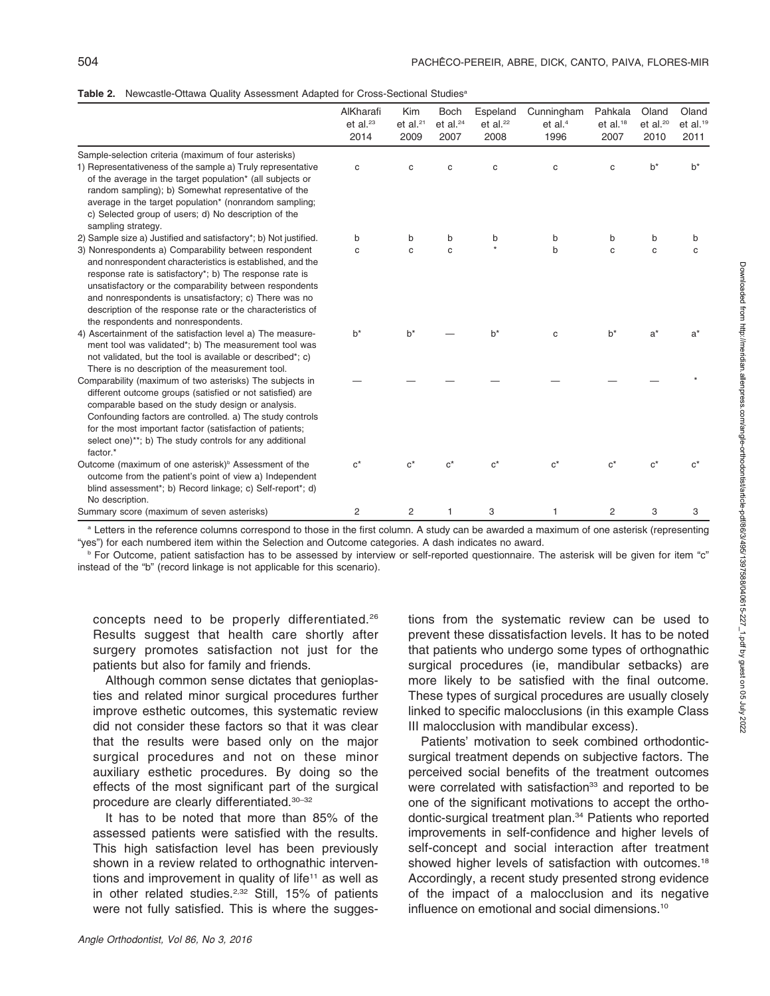|  | Table 2. Newcastle-Ottawa Quality Assessment Adapted for Cross-Sectional Studies <sup>®</sup> |  |  |  |  |  |
|--|-----------------------------------------------------------------------------------------------|--|--|--|--|--|
|--|-----------------------------------------------------------------------------------------------|--|--|--|--|--|

|                                                                                                                                                                                                                                                                                                                                                                                                                                                                            | AlKharafi<br>et al. $23$<br>2014 | Kim<br>et al. $21$<br>2009 | <b>Boch</b><br>et al. $24$<br>2007 | Espeland<br>et al. $22$<br>2008 | Cunningham<br>et al. $4$<br>1996 | Pahkala<br>et al. <sup>18</sup><br>2007 | Oland<br>et al. $20$<br>2010 | Oland<br>et al. $19$<br>2011 |
|----------------------------------------------------------------------------------------------------------------------------------------------------------------------------------------------------------------------------------------------------------------------------------------------------------------------------------------------------------------------------------------------------------------------------------------------------------------------------|----------------------------------|----------------------------|------------------------------------|---------------------------------|----------------------------------|-----------------------------------------|------------------------------|------------------------------|
| Sample-selection criteria (maximum of four asterisks)<br>1) Representativeness of the sample a) Truly representative<br>of the average in the target population* (all subjects or<br>random sampling); b) Somewhat representative of the<br>average in the target population* (nonrandom sampling;<br>c) Selected group of users; d) No description of the<br>sampling strategy.                                                                                           | C                                | $\mathbf C$                | C                                  | $\mathbf C$                     | $\mathbf C$                      | c                                       | $b^*$                        | $b^*$                        |
| 2) Sample size a) Justified and satisfactory*; b) Not justified.<br>3) Nonrespondents a) Comparability between respondent<br>and nonrespondent characteristics is established, and the<br>response rate is satisfactory*; b) The response rate is<br>unsatisfactory or the comparability between respondents<br>and nonrespondents is unsatisfactory; c) There was no<br>description of the response rate or the characteristics of<br>the respondents and nonrespondents. | b<br>C                           | b<br>C                     | b<br>$\mathbf{C}$                  | b<br>$\star$                    | b<br>$\mathbf b$                 | b<br>C                                  | b<br>C                       | b<br>C                       |
| 4) Ascertainment of the satisfaction level a) The measure-<br>ment tool was validated*; b) The measurement tool was<br>not validated, but the tool is available or described*; c)<br>There is no description of the measurement tool.                                                                                                                                                                                                                                      | $b^*$                            | $b^*$                      |                                    | $b^*$                           | C                                | $b^*$                                   | $a^*$                        | $a^*$                        |
| Comparability (maximum of two asterisks) The subjects in<br>different outcome groups (satisfied or not satisfied) are<br>comparable based on the study design or analysis.<br>Confounding factors are controlled. a) The study controls<br>for the most important factor (satisfaction of patients;<br>select one)**; b) The study controls for any additional<br>factor.*                                                                                                 |                                  |                            |                                    |                                 |                                  |                                         |                              |                              |
| Outcome (maximum of one asterisk) <sup>b</sup> Assessment of the<br>outcome from the patient's point of view a) Independent<br>blind assessment*; b) Record linkage; c) Self-report*; d)<br>No description.                                                                                                                                                                                                                                                                | $C^*$                            | $\mathsf{c}^\star$         | $c^*$                              | $C^*$                           | $c^*$                            | $c^*$                                   | $c^*$                        | $\alpha^*$                   |
| Summary score (maximum of seven asterisks)                                                                                                                                                                                                                                                                                                                                                                                                                                 | 2                                | 2                          | 1                                  | 3                               | 1                                | $\overline{c}$                          | 3                            | 3                            |

<sup>a</sup> Letters in the reference columns correspond to those in the first column. A study can be awarded a maximum of one asterisk (representing "yes") for each numbered item within the Selection and Outcome categories. A dash indicates no award.

**b** For Outcome, patient satisfaction has to be assessed by interview or self-reported questionnaire. The asterisk will be given for item "c" instead of the "b" (record linkage is not applicable for this scenario).

concepts need to be properly differentiated.26 Results suggest that health care shortly after surgery promotes satisfaction not just for the patients but also for family and friends.

Although common sense dictates that genioplasties and related minor surgical procedures further improve esthetic outcomes, this systematic review did not consider these factors so that it was clear that the results were based only on the major surgical procedures and not on these minor auxiliary esthetic procedures. By doing so the effects of the most significant part of the surgical procedure are clearly differentiated.30–32

It has to be noted that more than 85% of the assessed patients were satisfied with the results. This high satisfaction level has been previously shown in a review related to orthognathic interventions and improvement in quality of life<sup>11</sup> as well as in other related studies. $2,32$  Still, 15% of patients were not fully satisfied. This is where the suggestions from the systematic review can be used to prevent these dissatisfaction levels. It has to be noted that patients who undergo some types of orthognathic surgical procedures (ie, mandibular setbacks) are more likely to be satisfied with the final outcome. These types of surgical procedures are usually closely linked to specific malocclusions (in this example Class III malocclusion with mandibular excess).

Patients' motivation to seek combined orthodonticsurgical treatment depends on subjective factors. The perceived social benefits of the treatment outcomes were correlated with satisfaction<sup>33</sup> and reported to be one of the significant motivations to accept the orthodontic-surgical treatment plan.34 Patients who reported improvements in self-confidence and higher levels of self-concept and social interaction after treatment showed higher levels of satisfaction with outcomes.<sup>18</sup> Accordingly, a recent study presented strong evidence of the impact of a malocclusion and its negative influence on emotional and social dimensions.10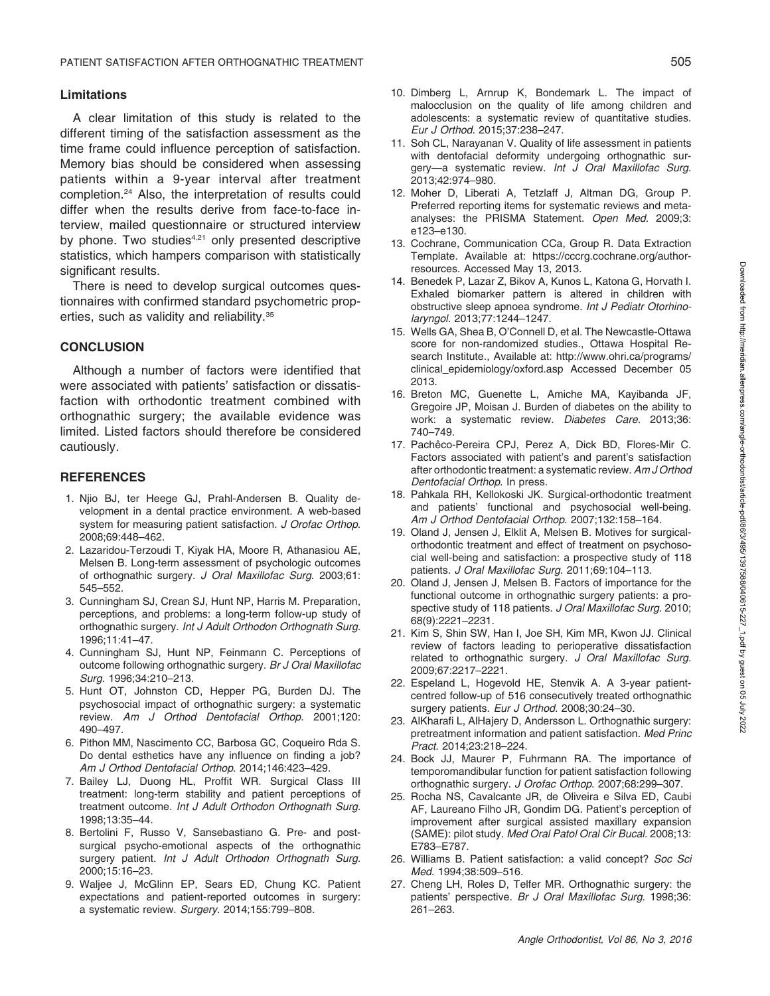#### Limitations

A clear limitation of this study is related to the different timing of the satisfaction assessment as the time frame could influence perception of satisfaction. Memory bias should be considered when assessing patients within a 9-year interval after treatment completion.24 Also, the interpretation of results could differ when the results derive from face-to-face interview, mailed questionnaire or structured interview by phone. Two studies $4,21$  only presented descriptive statistics, which hampers comparison with statistically significant results.

There is need to develop surgical outcomes questionnaires with confirmed standard psychometric properties, such as validity and reliability.35

#### **CONCLUSION**

Although a number of factors were identified that were associated with patients' satisfaction or dissatisfaction with orthodontic treatment combined with orthognathic surgery; the available evidence was limited. Listed factors should therefore be considered cautiously.

#### **REFERENCES**

- 1. Njio BJ, ter Heege GJ, Prahl-Andersen B. Quality development in a dental practice environment. A web-based system for measuring patient satisfaction. J Orofac Orthop. 2008;69:448–462.
- 2. Lazaridou-Terzoudi T, Kiyak HA, Moore R, Athanasiou AE, Melsen B. Long-term assessment of psychologic outcomes of orthognathic surgery. J Oral Maxillofac Surg. 2003;61: 545–552.
- 3. Cunningham SJ, Crean SJ, Hunt NP, Harris M. Preparation, perceptions, and problems: a long-term follow-up study of orthognathic surgery. Int J Adult Orthodon Orthognath Surg. 1996;11:41–47.
- 4. Cunningham SJ, Hunt NP, Feinmann C. Perceptions of outcome following orthognathic surgery. Br J Oral Maxillofac Surg. 1996;34:210–213.
- 5. Hunt OT, Johnston CD, Hepper PG, Burden DJ. The psychosocial impact of orthognathic surgery: a systematic review. Am J Orthod Dentofacial Orthop. 2001;120: 490–497.
- 6. Pithon MM, Nascimento CC, Barbosa GC, Coqueiro Rda S. Do dental esthetics have any influence on finding a job? Am J Orthod Dentofacial Orthop. 2014;146:423–429.
- 7. Bailey LJ, Duong HL, Proffit WR. Surgical Class III treatment: long-term stability and patient perceptions of treatment outcome. Int J Adult Orthodon Orthognath Surg. 1998;13:35–44.
- 8. Bertolini F, Russo V, Sansebastiano G. Pre- and postsurgical psycho-emotional aspects of the orthognathic surgery patient. Int J Adult Orthodon Orthognath Surg. 2000;15:16–23.
- 9. Waljee J, McGlinn EP, Sears ED, Chung KC. Patient expectations and patient-reported outcomes in surgery: a systematic review. Surgery. 2014;155:799–808.
- 10. Dimberg L, Arnrup K, Bondemark L. The impact of malocclusion on the quality of life among children and adolescents: a systematic review of quantitative studies. Eur J Orthod. 2015;37:238–247.
- 11. Soh CL, Narayanan V. Quality of life assessment in patients with dentofacial deformity undergoing orthognathic surgery—a systematic review. Int J Oral Maxillofac Surg. 2013;42:974–980.
- 12. Moher D, Liberati A, Tetzlaff J, Altman DG, Group P. Preferred reporting items for systematic reviews and metaanalyses: the PRISMA Statement. Open Med. 2009;3: e123–e130.
- 13. Cochrane, Communication CCa, Group R. Data Extraction Template. Available at: https://cccrg.cochrane.org/authorresources. Accessed May 13, 2013.
- 14. Benedek P, Lazar Z, Bikov A, Kunos L, Katona G, Horvath I. Exhaled biomarker pattern is altered in children with obstructive sleep apnoea syndrome. Int J Pediatr Otorhinolaryngol. 2013;77:1244–1247.
- 15. Wells GA, Shea B, O'Connell D, et al. The Newcastle-Ottawa score for non-randomized studies., Ottawa Hospital Research Institute., Available at: http://www.ohri.ca/programs/ clinical\_epidemiology/oxford.asp Accessed December 05 2013.
- 16. Breton MC, Guenette L, Amiche MA, Kayibanda JF, Gregoire JP, Moisan J. Burden of diabetes on the ability to work: a systematic review. Diabetes Care. 2013;36: 740–749.
- 17. Pachêco-Pereira CPJ, Perez A, Dick BD, Flores-Mir C. Factors associated with patient's and parent's satisfaction after orthodontic treatment: a systematic review. Am J Orthod Dentofacial Orthop. In press.
- 18. Pahkala RH, Kellokoski JK. Surgical-orthodontic treatment and patients' functional and psychosocial well-being. Am J Orthod Dentofacial Orthop. 2007;132:158–164.
- 19. Oland J, Jensen J, Elklit A, Melsen B. Motives for surgicalorthodontic treatment and effect of treatment on psychosocial well-being and satisfaction: a prospective study of 118 patients. J Oral Maxillofac Surg. 2011;69:104–113.
- 20. Oland J, Jensen J, Melsen B. Factors of importance for the functional outcome in orthognathic surgery patients: a prospective study of 118 patients. J Oral Maxillofac Surg. 2010; 68(9):2221–2231.
- 21. Kim S, Shin SW, Han I, Joe SH, Kim MR, Kwon JJ. Clinical review of factors leading to perioperative dissatisfaction related to orthognathic surgery. J Oral Maxillofac Surg. 2009;67:2217–2221.
- 22. Espeland L, Hogevold HE, Stenvik A. A 3-year patientcentred follow-up of 516 consecutively treated orthognathic surgery patients. Eur J Orthod. 2008;30:24-30.
- 23. AlKharafi L, AlHajery D, Andersson L. Orthognathic surgery: pretreatment information and patient satisfaction. Med Princ Pract. 2014;23:218–224.
- 24. Bock JJ, Maurer P, Fuhrmann RA. The importance of temporomandibular function for patient satisfaction following orthognathic surgery. J Orofac Orthop. 2007;68:299–307.
- 25. Rocha NS, Cavalcante JR, de Oliveira e Silva ED, Caubi AF, Laureano Filho JR, Gondim DG. Patient's perception of improvement after surgical assisted maxillary expansion (SAME): pilot study. Med Oral Patol Oral Cir Bucal. 2008;13: E783–E787.
- 26. Williams B. Patient satisfaction: a valid concept? Soc Sci Med. 1994;38:509–516.
- 27. Cheng LH, Roles D, Telfer MR. Orthognathic surgery: the patients' perspective. Br J Oral Maxillofac Surg. 1998;36: 261–263.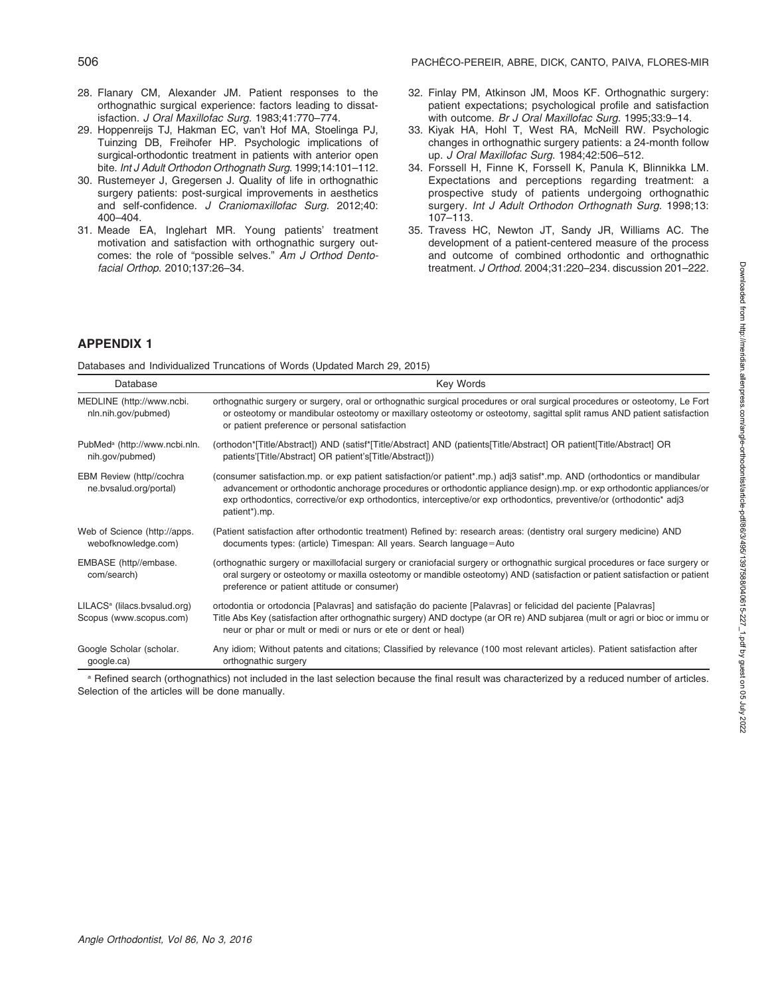- 28. Flanary CM, Alexander JM. Patient responses to the orthognathic surgical experience: factors leading to dissatisfaction. J Oral Maxillofac Surg. 1983;41:770–774.
- 29. Hoppenreijs TJ, Hakman EC, van't Hof MA, Stoelinga PJ, Tuinzing DB, Freihofer HP. Psychologic implications of surgical-orthodontic treatment in patients with anterior open bite. Int J Adult Orthodon Orthognath Surg. 1999;14:101–112.
- 30. Rustemeyer J, Gregersen J. Quality of life in orthognathic surgery patients: post-surgical improvements in aesthetics and self-confidence. J Craniomaxillofac Surg. 2012;40: 400–404.
- 31. Meade EA, Inglehart MR. Young patients' treatment motivation and satisfaction with orthognathic surgery outcomes: the role of "possible selves." Am J Orthod Dentofacial Orthop. 2010;137:26–34.
- 32. Finlay PM, Atkinson JM, Moos KF. Orthognathic surgery: patient expectations; psychological profile and satisfaction with outcome. Br J Oral Maxillofac Surg. 1995;33:9–14.
- 33. Kiyak HA, Hohl T, West RA, McNeill RW. Psychologic changes in orthognathic surgery patients: a 24-month follow up. J Oral Maxillofac Surg. 1984;42:506–512.
- 34. Forssell H, Finne K, Forssell K, Panula K, Blinnikka LM. Expectations and perceptions regarding treatment: a prospective study of patients undergoing orthognathic surgery. Int J Adult Orthodon Orthognath Surg. 1998;13: 107–113.
- 35. Travess HC, Newton JT, Sandy JR, Williams AC. The development of a patient-centered measure of the process and outcome of combined orthodontic and orthognathic treatment. J Orthod. 2004;31:220–234. discussion 201–222.

#### APPENDIX 1

Databases and Individualized Truncations of Words (Updated March 29, 2015)

| Database                                                            | Key Words                                                                                                                                                                                                                                                                                                                                                                                               |
|---------------------------------------------------------------------|---------------------------------------------------------------------------------------------------------------------------------------------------------------------------------------------------------------------------------------------------------------------------------------------------------------------------------------------------------------------------------------------------------|
| MEDLINE (http://www.ncbi.<br>nln.nih.gov/pubmed)                    | orthognathic surgery or surgery, oral or orthognathic surgical procedures or oral surgical procedures or osteotomy, Le Fort<br>or osteotomy or mandibular osteotomy or maxillary osteotomy or osteotomy, sagittal split ramus AND patient satisfaction<br>or patient preference or personal satisfaction                                                                                                |
| PubMed <sup>a</sup> (http://www.ncbi.nln.<br>nih.gov/pubmed)        | (orthodon*[Title/Abstract]) AND (satisf*[Title/Abstract] AND (patients[Title/Abstract] OR patient[Title/Abstract] OR<br>patients' [Title/Abstract] OR patient's [Title/Abstract])                                                                                                                                                                                                                       |
| EBM Review (http//cochra<br>ne.bvsalud.org/portal)                  | (consumer satisfaction.mp. or exp patient satisfaction/or patient*.mp.) adj3 satisf*.mp. AND (orthodontics or mandibular<br>advancement or orthodontic anchorage procedures or orthodontic appliance design).mp. or exp orthodontic appliances/or<br>exp orthodontics, corrective/or exp orthodontics, interceptive/or exp orthodontics, preventive/or (orthodontic* adj3<br>patient <sup>*</sup> ).mp. |
| Web of Science (http://apps.<br>webofknowledge.com)                 | (Patient satisfaction after orthodontic treatment) Refined by: research areas: (dentistry oral surgery medicine) AND<br>documents types: (article) Timespan: All years. Search language=Auto                                                                                                                                                                                                            |
| EMBASE (http//embase.<br>com/search)                                | (orthognathic surgery or maxillofacial surgery or craniofacial surgery or orthognathic surgical procedures or face surgery or<br>oral surgery or osteotomy or maxilla osteotomy or mandible osteotomy) AND (satisfaction or patient satisfaction or patient<br>preference or patient attitude or consumer)                                                                                              |
| LILACS <sup>a</sup> (lilacs.bvsalud.org)<br>Scopus (www.scopus.com) | ortodontia or ortodoncia [Palavras] and satisfação do paciente [Palavras] or felicidad del paciente [Palavras]<br>Title Abs Key (satisfaction after orthognathic surgery) AND doctype (ar OR re) AND subjarea (mult or agri or bioc or immu or<br>neur or phar or mult or medi or nurs or ete or dent or heal)                                                                                          |
| Google Scholar (scholar.<br>google.ca)                              | Any idiom; Without patents and citations; Classified by relevance (100 most relevant articles). Patient satisfaction after<br>orthognathic surgery                                                                                                                                                                                                                                                      |

a Refined search (orthognathics) not included in the last selection because the final result was characterized by a reduced number of articles. Selection of the articles will be done manually.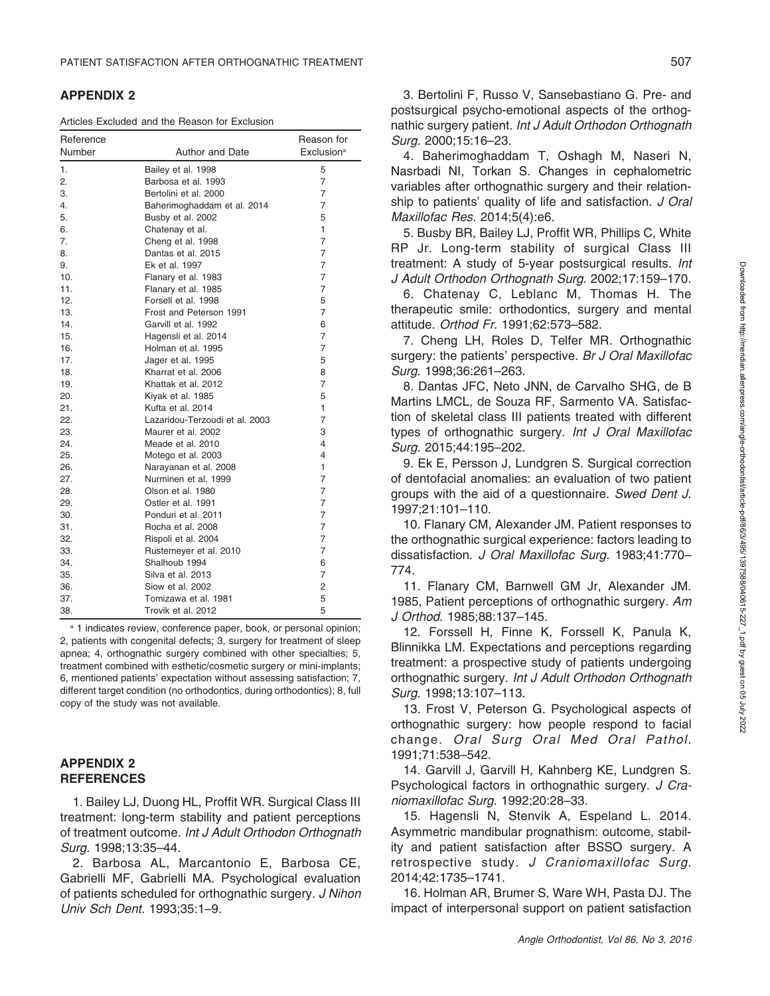#### APPENDIX 2

Articles Excluded and the Reason for Exclusion

| Reference<br>Number | Author and Date                | Reason for<br>Exclusion <sup>a</sup> |
|---------------------|--------------------------------|--------------------------------------|
| 1.                  | Bailey et al. 1998             | 5                                    |
| 2.                  | Barbosa et al. 1993            | 7                                    |
| 3.                  | Bertolini et al. 2000          | 7                                    |
| 4.                  | Baherimoghaddam et al. 2014    | 7                                    |
| 5.                  | Busby et al. 2002              | 5                                    |
| 6.                  | Chatenay et al.                | 1                                    |
| 7.                  | Cheng et al. 1998              | 7                                    |
| 8.                  | Dantas et al. 2015             | 7                                    |
| 9.                  | Ek et al. 1997                 | $\overline{7}$                       |
| 10.                 | Flanary et al. 1983            | 7                                    |
| 11.                 | Flanary et al. 1985            | 7                                    |
| 12.                 | Forsell et al. 1998            | 5                                    |
| 13.                 | Frost and Peterson 1991        | 7                                    |
| 14.                 | Garvill et al. 1992            | 6                                    |
| 15.                 | Hagensli et al. 2014           | 7                                    |
| 16.                 | Holman et al. 1995             | $\overline{7}$                       |
| 17.                 | Jager et al. 1995              | 5                                    |
| 18.                 | Kharrat et al. 2006            | 8                                    |
| 19.                 | Khattak et al. 2012            | 7                                    |
| 20.                 | Kiyak et al. 1985              | 5                                    |
| 21.                 | Kufta et al. 2014              | 1                                    |
| 22.                 | Lazaridou-Terzoudi et al. 2003 | 7                                    |
| 23.                 | Maurer et al. 2002             | 3                                    |
| 24.                 | Meade et al. 2010              | $\overline{4}$                       |
| 25.                 | Motego et al. 2003             | 4                                    |
| 26.                 | Narayanan et al. 2008          | 1                                    |
| 27.                 | Nurminen et al. 1999           | 7                                    |
| 28.                 | Olson et al. 1980              | 7                                    |
| 29.                 | Ostler et al. 1991             | 7                                    |
| 30.                 | Ponduri et al. 2011            | $\overline{7}$                       |
| 31.                 | Rocha et al. 2008              | $\overline{7}$                       |
| 32.                 | Rispoli et al. 2004            | 7                                    |
| 33.                 | Rustemeyer et al. 2010         | 7                                    |
| 34.                 | Shalhoub 1994                  | 6                                    |
| 35.                 | Silva et al. 2013              | 7                                    |
| 36.                 | Siow et al. 2002               | 2                                    |
| 37.                 | Tomizawa et al. 1981           | 5                                    |
| 38.                 | Trovik et al. 2012             | 5                                    |

<sup>a</sup> 1 indicates review, conference paper, book, or personal opinion; 2, patients with congenital defects; 3, surgery for treatment of sleep apnea; 4, orthognathic surgery combined with other specialties; 5, treatment combined with esthetic/cosmetic surgery or mini-implants; 6, mentioned patients' expectation without assessing satisfaction; 7, different target condition (no orthodontics, during orthodontics); 8, full copy of the study was not available.

#### APPENDIX 2 **REFERENCES**

1. Bailey LJ, Duong HL, Proffit WR. Surgical Class III treatment: long-term stability and patient perceptions of treatment outcome. Int J Adult Orthodon Orthognath Surg. 1998;13:35–44.

2. Barbosa AL, Marcantonio E, Barbosa CE, Gabrielli MF, Gabrielli MA. Psychological evaluation of patients scheduled for orthognathic surgery. J Nihon Univ Sch Dent. 1993;35:1–9.

3. Bertolini F, Russo V, Sansebastiano G. Pre- and postsurgical psycho-emotional aspects of the orthognathic surgery patient. Int J Adult Orthodon Orthognath Surg. 2000;15:16–23.

4. Baherimoghaddam T, Oshagh M, Naseri N, Nasrbadi NI, Torkan S. Changes in cephalometric variables after orthognathic surgery and their relationship to patients' quality of life and satisfaction. J Oral Maxillofac Res. 2014;5(4):e6.

5. Busby BR, Bailey LJ, Proffit WR, Phillips C, White RP Jr. Long-term stability of surgical Class III treatment: A study of 5-year postsurgical results. Int J Adult Orthodon Orthognath Surg. 2002;17:159–170.

6. Chatenay C, Leblanc M, Thomas H. The therapeutic smile: orthodontics, surgery and mental attitude. Orthod Fr. 1991;62:573–582.

7. Cheng LH, Roles D, Telfer MR. Orthognathic surgery: the patients' perspective. Br J Oral Maxillofac Surg. 1998;36:261–263.

8. Dantas JFC, Neto JNN, de Carvalho SHG, de B Martins LMCL, de Souza RF, Sarmento VA. Satisfaction of skeletal class III patients treated with different types of orthognathic surgery. Int J Oral Maxillofac Surg. 2015;44:195–202.

9. Ek E, Persson J, Lundgren S. Surgical correction of dentofacial anomalies: an evaluation of two patient groups with the aid of a questionnaire. Swed Dent J. 1997;21:101–110.

10. Flanary CM, Alexander JM. Patient responses to the orthognathic surgical experience: factors leading to dissatisfaction. J Oral Maxillofac Surg. 1983;41:770– 774.

11. Flanary CM, Barnwell GM Jr, Alexander JM. 1985, Patient perceptions of orthognathic surgery. Am J Orthod. 1985;88:137–145.

12. Forssell H, Finne K, Forssell K, Panula K, Blinnikka LM. Expectations and perceptions regarding treatment: a prospective study of patients undergoing orthognathic surgery. Int J Adult Orthodon Orthognath Surg. 1998;13:107–113.

13. Frost V, Peterson G. Psychological aspects of orthognathic surgery: how people respond to facial change. Oral Surg Oral Med Oral Pathol. 1991;71:538–542.

14. Garvill J, Garvill H, Kahnberg KE, Lundgren S. Psychological factors in orthognathic surgery. J Craniomaxillofac Surg. 1992;20:28–33.

15. Hagensli N, Stenvik A, Espeland L. 2014. Asymmetric mandibular prognathism: outcome, stability and patient satisfaction after BSSO surgery. A retrospective study. J Craniomaxillofac Surg. 2014;42:1735–1741.

16. Holman AR, Brumer S, Ware WH, Pasta DJ. The impact of interpersonal support on patient satisfaction